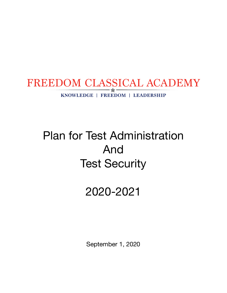

# Plan for Test Administration And Test Security

## 2020-2021

September 1, 2020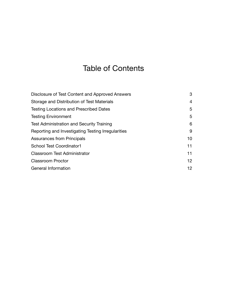## Table of Contents

| Disclosure of Test Content and Approved Answers    | 3               |
|----------------------------------------------------|-----------------|
| Storage and Distribution of Test Materials         | 4               |
| <b>Testing Locations and Prescribed Dates</b>      | 5               |
| <b>Testing Environment</b>                         | 5               |
| <b>Test Administration and Security Training</b>   | 6               |
| Reporting and Investigating Testing Irregularities | 9               |
| <b>Assurances from Principals</b>                  | 10 <sup>°</sup> |
| <b>School Test Coordinator1</b>                    | 11              |
| <b>Classroom Test Administrator</b>                | 11              |
| <b>Classroom Proctor</b>                           | 12 <sup>°</sup> |
| General Information                                | 12 <sup>2</sup> |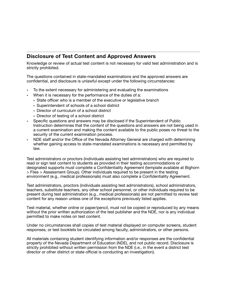## <span id="page-2-0"></span>**Disclosure of Test Content and Approved Answers**

Knowledge or review of actual test content is not necessary for valid test administration and is strictly prohibited.

The questions contained in state-mandated examinations and the approved answers are confidential, and disclosure is unlawful except under the following circumstances:

- To the extent necessary for administering and evaluating the examinations
- When it is necessary for the performance of the duties of a:
	- State officer who is a member of the executive or legislative branch
	- Superintendent of schools of a school district
	- Director of curriculum of a school district
	- Director of testing of a school district
- Specific questions and answers may be disclosed if the Superintendent of Public Instruction determines that the content of the questions and answers are not being used in a current examination and making the content available to the public poses no threat to the security of the current examination process.
- NDE staff and/or the Office of the Nevada Attorney General are charged with determining whether gaining access to state-mandated examinations is necessary and permitted by law.

Test administrators or proctors (individuals assisting test administrators) who are required to read or sign test content to students as provided in their testing accommodations or designated supports must complete a Confidentiality Agreement (template available at Bighorn > Files > Assessment Group). Other individuals required to be present in the testing environment (e.g., medical professionals) must also complete a Confidentiality Agreement.

Test administrators, proctors (individuals assisting test administrators), school administrators, teachers, substitute teachers, any other school personnel, or other individuals required to be present during test administration (e.g., medical professionals) are not permitted to review test content for any reason unless one of the exceptions previously listed applies.

Τest material, whether online or paper/pencil, must not be copied or reproduced by any means without the prior written authorization of the test publisher and the NDE, nor is any individual permitted to make notes on test content.

Under no circumstances shall copies of test material displayed on computer screens, student responses, or test booklets be circulated among faculty, administrators, or other persons.

All materials containing student identifying information and/or responses are the confidential property of the Nevada Department of Education (NDE), and not public record. Disclosure is strictly prohibited without written permission from the NDE (i.e., in the event a district test director or other district or state official is conducting an investigation).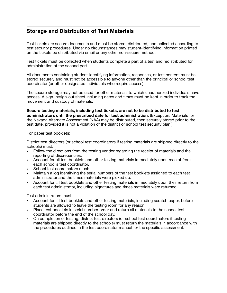## <span id="page-3-0"></span>**Storage and Distribution of Test Materials**

Test tickets are secure documents and must be stored, distributed, and collected according to test security procedures. Under no circumstances may student-identifying information printed on the tickets be distributed via email or any other non-secure method.

Test tickets must be collected when students complete a part of a test and redistributed for administration of the second part.

All documents containing student-identifying information, responses, or test content must be stored securely and must not be accessible to anyone other than the principal or school test coordinator (or other designated individuals who require access).

The secure storage may not be used for other materials to which unauthorized individuals have access. A sign-in/sign-out sheet including dates and times must be kept in order to track the movement and custody of materials.

**Secure testing materials, including test tickets, are not to be distributed to test administrators until the prescribed date for test administration.** (Exception: Materials for the Nevada Alternate Assessment (NAA) may be distributed, then securely stored prior to the test date, provided it is not a violation of the district or school test security plan.)

For paper test booklets:

District test directors (or school test coordinators if testing materials are shipped directly to the schools) must:

- Follow the directions from the testing vendor regarding the receipt of materials and the reporting of discrepancies.
- Account for all test booklets and other testing materials immediately upon receipt from each school's test coordinator.
- School test coordinators must:
- Maintain a log identifying the serial numbers of the test booklets assigned to each test administrator and the times materials were picked up.
- Account for all test booklets and other testing materials immediately upon their return from each test administrator, including signatures and times materials were returned.

Test administrators must:

- Account for all test booklets and other testing materials, including scratch paper, before students are allowed to leave the testing room for any reason.
- Place test booklets in serial number order and return all materials to the school test coordinator before the end of the school day.
- On completion of testing, district test directors (or school test coordinators if testing materials are shipped directly to the schools) must return the materials in accordance with the procedures outlined in the test coordinator manual for the specific assessment.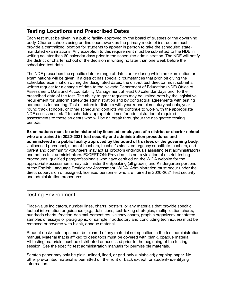## <span id="page-4-0"></span>**Testing Locations and Prescribed Dates**

Each test must be given in a public facility approved by the board of trustees or the governing body. Charter schools using on-line coursework as the primary mode of instruction must provide a centralized location for students to appear in person to take the scheduled statemandated examinations. Any exception to this requirement must be submitted to the NDE in writing no later than 60 calendar days prior to the scheduled administration. The NDE will notify the district or charter school of the decision in writing no later than one week before the scheduled test date.

The NDE prescribes the specific date or range of dates on or during which an examination or examinations will be given. If a district has special circumstances that prohibit giving the scheduled examination during the designated dates, the district test director must submit a written request for a change of date to the Nevada Department of Education (NDE) Office of Assessment, Data and Accountability Management at least 60 calendar days prior to the prescribed date of the test. The ability to grant requests may be limited both by the legislative requirement for uniform statewide administration and by contractual agreements with testing companies for scoring. Test directors in districts with year-round elementary schools, yearround track schools, or other scheduling conflicts will continue to work with the appropriate NDE assessment staff to schedule appropriate times for administration of required assessments to those students who will be on break throughout the designated testing periods.

**Examinations must be administered by licensed employees of a district or charter school who are trained in 2020-2021 test security and administration procedures and administered in a public facility approved by the board of trustees or the governing body.**  Unlicensed personnel, student teachers, teacher's aides, emergency substitute teachers, and parent and community volunteers may act as proctors (individuals assisting test administrators) and not as test administrators. EXCEPTION: Provided it is not a violation of district testing procedures, qualified paraprofessionals who have certified on the WIDA website for the appropriate assessments may administer the Speaking (all grades) and Kindergarten portions of the English Language Proficiency Assessment, WIDA. Administration must occur under the direct supervision of assigned, licensed personnel who are trained in 2020-2021 test security and administration procedures.

## <span id="page-4-1"></span>Testing Environment

Place-value indicators, number lines, charts, posters, or any materials that provide specific factual information or guidance (e.g., definitions, test-taking strategies, multiplication charts, hundreds charts, fraction-decimal-percent equivalency charts, graphic organizers, annotated samples of essays or paragraphs, or sample introductory and concluding techniques) must be removed or covered with blank, opaque material.

Student desk/table tops must be cleared of any material not specified in the test administration manual. Material that is affixed to desk tops must be covered with blank, opaque material. All testing materials must be distributed or accessed prior to the beginning of the testing session. See the specific test administration manuals for permissible materials.

Scratch paper may only be plain unlined, lined, or grid-only (unlabeled) graphing paper. No other pre-printed material is permitted on the front or back except for student- identifying information.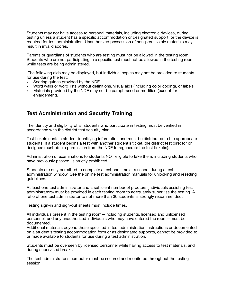Students may not have access to personal materials, including electronic devices, during testing unless a student has a specific accommodation or designated support, or the device is required for test administration. Unauthorized possession of non-permissible materials may result in invalid scores.

Parents or guardians of students who are testing must not be allowed in the testing room. Students who are not participating in a specific test must not be allowed in the testing room while tests are being administered.

 The following aids may be displayed, but individual copies may not be provided to students for use during the test:

- Scoring guides provided by the NDE
- Word walls or word lists without definitions, visual aids (including color coding), or labels
- Materials provided by the NDE may not be paraphrased or modified (except for enlargement).

### <span id="page-5-0"></span>**Test Administration and Security Training**

The identity and eligibility of all students who participate in testing must be verified in accordance with the district test security plan.

Test tickets contain student-identifying information and must be distributed to the appropriate students. If a student begins a test with another student's ticket, the district test director or designee must obtain permission from the NDE to regenerate the test ticket(s).

Administration of examinations to students NOT eligible to take them, including students who have previously passed, is strictly prohibited.

Students are only permitted to complete a test one time at a school during a test administration window. See the online test administration manuals for unlocking and resetting guidelines.

At least one test administrator and a sufficient number of proctors (individuals assisting test administrators) must be provided in each testing room to adequately supervise the testing. A ratio of one test administrator to not more than 30 students is strongly recommended.

Testing sign-in and sign-out sheets must include times.

All individuals present in the testing room—including students, licensed and unlicensed personnel, and any unauthorized individuals who may have entered the room—must be documented.

Additional materials beyond those specified in test administration instructions or documented on a student's testing accommodation form or as designated supports, cannot be provided to or made available to students for use during a test administration.

Students must be overseen by licensed personnel while having access to test materials, and during supervised breaks.

The test administrator's computer must be secured and monitored throughout the testing session.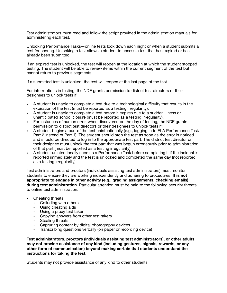Test administrators must read and follow the script provided in the administration manuals for administering each test.

Unlocking Performance Tasks—online tests lock down each night or when a student submits a test for scoring. Unlocking a test allows a student to access a test that has expired or has already been submitted.

If an expired test is unlocked, the test will reopen at the location at which the student stopped testing. The student will be able to review items within the current segment of the test but cannot return to previous segments.

If a submitted test is unlocked, the test will reopen at the last page of the test.

For interruptions in testing, the NDE grants permission to district test directors or their designees to unlock tests if:

- A student is unable to complete a test due to a technological difficulty that results in the expiration of the test (must be reported as a testing irregularity).
- A student is unable to complete a test before it expires due to a sudden illness or unanticipated school closure (must be reported as a testing irregularity).
- For instances of human error, when discovered on the day of testing, the NDE grants permission to district test directors or their designees to unlock tests if:
- A student begins a part of the test unintentionally (e.g., logging in to ELA Performance Task Part 2 instead of Part 1). The student should stop the test as soon as the error is noticed and should be directed to log in to the appropriate test part. The district test director or their designee must unlock the test part that was begun erroneously prior to administration of that part (must be reported as a testing irregularity).
- A student unintentionally submits a Performance Task before completing it if the incident is reported immediately and the test is unlocked and completed the same day (not reported as a testing irregularity).

Test administrators and proctors (individuals assisting test administrators) must monitor students to ensure they are working independently and adhering to procedures. **It is not appropriate to engage in other activity (e.g., grading assignments, checking emails) during test administration.** Particular attention must be paid to the following security threats to online test administration:

- Cheating threats:
	- Colluding with others
	- Using cheating aids
	- Using a proxy test taker
	- Copying answers from other test takers
	- Stealing threats
	- Capturing content by digital photography devices
	- Transcribing questions verbally (on paper or recording device)

**Test administrators, proctors (individuals assisting test administrators), or other adults may not provide assistance of any kind (including gestures, signals, rewards, or any other form of communication) beyond making certain that students understand the instructions for taking the test.** 

Students may not provide assistance of any kind to other students.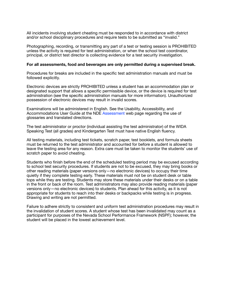All incidents involving student cheating must be responded to in accordance with district and/or school disciplinary procedures and require tests to be submitted as "invalid."

Photographing, recording, or transmitting any part of a test or testing session is PROHIBITED unless the activity is required for test administration, or when the school test coordinator, principal, or district test director is collecting evidence for a test security investigation.

#### **For all assessments, food and beverages are only permitted during a supervised break.**

Procedures for breaks are included in the specific test administration manuals and must be followed explicitly.

Electronic devices are strictly PROHIBITED unless a student has an accommodation plan or designated support that allows a specific permissible device, or the device is required for test administration (see the specific administration manuals for more information). Unauthorized possession of electronic devices may result in invalid scores.

Examinations will be administered in English. See the Usability, Accessibility, and Accommodations User Guide at the NDE Assessment web page regarding the use of glossaries and translated directions.

The test administrator or proctor (individual assisting the test administrator) of the WIDA Speaking Test (all grades) and Kindergarten Test must have native English fluency.

All testing materials, including test tickets, scratch paper, test booklets, and formula sheets must be returned to the test administrator and accounted for before a student is allowed to leave the testing area for any reason. Extra care must be taken to monitor the students' use of scratch paper to avoid cheating.

Students who finish before the end of the scheduled testing period may be excused according to school test security procedures. If students are not to be excused, they may bring books or other reading materials (paper versions only—no electronic devices) to occupy their time quietly if they complete testing early. These materials must not be on student desk or table tops while they are testing. Students may store these materials under their desks or on a table in the front or back of the room. Test administrators may also provide reading materials (paper versions only—no electronic devices) to students. Plan ahead for this activity, as it is not appropriate for students to reach into their desks or backpacks while testing is in progress. Drawing and writing are not permitted.

Failure to adhere strictly to consistent and uniform test administration procedures may result in the invalidation of student scores. A student whose test has been invalidated may count as a participant for purposes of the Nevada School Performance Framework (NSPF); however, the student will be placed in the lowest achievement level.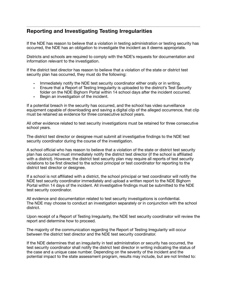## <span id="page-8-0"></span>**Reporting and Investigating Testing Irregularities**

If the NDE has reason to believe that a violation in testing administration or testing security has occurred, the NDE has an obligation to investigate the incident as it deems appropriate.

Districts and schools are required to comply with the NDE's requests for documentation and information relevant to the investigation.

If the district test director has reason to believe that a violation of the state or district test security plan has occurred, they must do the following:

- Immediately notify the NDE test security coordinator either orally or in writing.
- Ensure that a Report of Testing Irregularity is uploaded to the district's Test Security folder on the NDE Bighorn Portal within 14 school days after the incident occurred.
- Begin an investigation of the incident.

If a potential breach in the security has occurred, and the school has video surveillance equipment capable of downloading and saving a digital clip of the alleged occurrence, that clip must be retained as evidence for three consecutive school years.

All other evidence related to test security investigations must be retained for three consecutive school years.

The district test director or designee must submit all investigative findings to the NDE test security coordinator during the course of the investigation.

A school official who has reason to believe that a violation of the state or district test security plan has occurred must immediately notify the district test director (if the school is affiliated with a district). However, the district test security plan may require all reports of test security violations to be first directed to the school principal or test coordinator for reporting to the district test director or designee.

If a school is not affiliated with a district, the school principal or test coordinator will notify the NDE test security coordinator immediately and upload a written report to the NDE Bighorn Portal within 14 days of the incident. All investigative findings must be submitted to the NDE test security coordinator.

All evidence and documentation related to test security investigations is confidential. The NDE may choose to conduct an investigation separately or in conjunction with the school district.

Upon receipt of a Report of Testing Irregularity, the NDE test security coordinator will review the report and determine how to proceed.

The majority of the communication regarding the Report of Testing Irregularity will occur between the district test director and the NDE test security coordinator.

If the NDE determines that an irregularity in test administration or security has occurred, the test security coordinator shall notify the district test director in writing indicating the status of the case and a unique case number. Depending on the severity of the incident and the potential impact to the state assessment program, results may include, but are not limited to: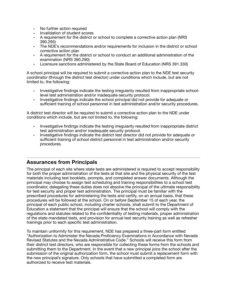- No further action required
- Invalidation of student scores
- A requirement for the district or school to complete a corrective action plan (NRS 390.295)
- The NDE's recommendations and/or requirements for inclusion in the district or school corrective action plan
- A requirement for the district or school to conduct an additional administration of the examination (NRS 390.290)
- Licensure sanctions administered by the State Board of Education (NRS 391.330)

A school principal will be required to submit a corrective action plan to the NDE test security coordinator (through the district test director) under conditions which include, but are not limited to, the following:

- Investigative findings indicate the testing irregularity resulted from inappropriate schoollevel test administration and/or inadequate security protocol.
- Investigative findings indicate the school principal did not provide for adequate or sufficient training of school personnel in test administration and/or security procedures.

A district test director will be required to submit a corrective action plan to the NDE under conditions which include, but are not limited to, the following:

- Investigative findings indicate the testing irregularity resulted from inappropriate district test administration and/or inadequate security protocol.
- Investigative findings indicate the district test director did not provide for adequate or sufficient training of school district personnel in test administration and/or security procedures.

## <span id="page-9-0"></span>**Assurances from Principals**

The principal of each site where state tests are administered is required to accept responsibility for both the proper administration of the tests at that site and the physical security of the test materials including test booklets, prompts, and completed answer documents. Although the principal may choose to assign test scheduling and training responsibilities to a school test coordinator, delegating these duties does not absolve the principal of the ultimate responsibility for test security and proper test administration. The principal must be familiar with the prescribed procedures for administering the tests and certify, on an annual basis, that these procedures will be followed at the school. On or before September 15 of each year, the principal of each public school, including charter schools, shall submit to the Department of Education a statement that the principal will ensure that the school will comply with the regulations and statutes related to the confidentiality of testing materials, proper administration of the state-mandated tests, and provision for annual test security training as well as refresher trainings prior to each specific test administration.

To maintain uniformity for this requirement, NDE has prepared a three-part form entitled "Authorization to Administer the Nevada Proficiency Examinations in Accordance with Nevada Revised Statutes and the Nevada Administrative Code." Schools will receive this form from their district test directors, who are responsible for collecting these forms from the schools and submitting them to the Department. In the event that a new principal joins the school after the submission of the original authorization form, the school must submit a replacement form with the new principal's signature. Only schools that have submitted a completed form are authorized to receive test materials.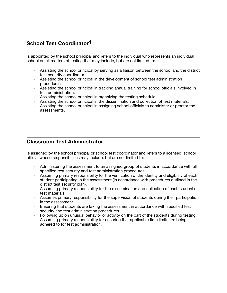## <span id="page-10-0"></span>**School Test Coordinator1**

Is appointed by the school principal and refers to the individual who represents an individual school on all matters of testing that may include, but are not limited to:

- Assisting the school principal by serving as a liaison between the school and the district test security coordinator.
- Assisting the school principal in the development of school test administration procedures.
- Assisting the school principal in tracking annual training for school officials involved in test administration.
- Assisting the school principal in organizing the testing schedule.
- Assisting the school principal in the dissemination and collection of test materials.
- Assisting the school principal in assigning school officials to administer or proctor the assessments.

### <span id="page-10-1"></span>**Classroom Test Administrator**

Is assigned by the school principal or school test coordinator and refers to a licensed, school official whose responsibilities may include, but are not limited to:

- Administering the assessment to an assigned group of students in accordance with all specified test security and test administration procedures.
- Assuming primary responsibility for the verification of the identity and eligibility of each student participating in the assessment (in accordance with procedures outlined in the district test security plan).
- Assuming primary responsibility for the dissemination and collection of each student's test materials.
- Assumes primary responsibility for the supervision of students during their participation in the assessment.
- Ensuring that students are taking the assessment in accordance with specified test security and test administration procedures.
- Following up on unusual behavior or activity on the part of the students during testing.
- Assuming primary responsibility for ensuring that applicable time limits are being adhered to for test administration.